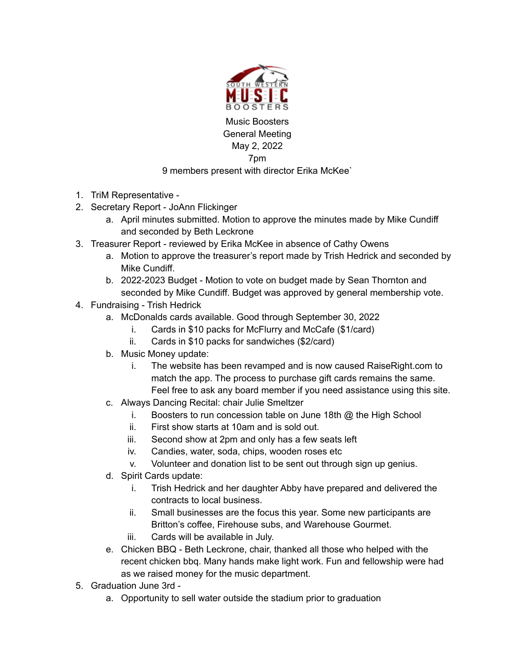

Music Boosters General Meeting May 2, 2022 7pm

## 9 members present with director Erika McKee`

- 1. TriM Representative -
- 2. Secretary Report JoAnn Flickinger
	- a. April minutes submitted. Motion to approve the minutes made by Mike Cundiff and seconded by Beth Leckrone
- 3. Treasurer Report reviewed by Erika McKee in absence of Cathy Owens
	- a. Motion to approve the treasurer's report made by Trish Hedrick and seconded by Mike Cundiff.
	- b. 2022-2023 Budget Motion to vote on budget made by Sean Thornton and seconded by Mike Cundiff. Budget was approved by general membership vote.
- 4. Fundraising Trish Hedrick
	- a. McDonalds cards available. Good through September 30, 2022
		- i. Cards in \$10 packs for McFlurry and McCafe (\$1/card)
		- ii. Cards in \$10 packs for sandwiches (\$2/card)
	- b. Music Money update:
		- i. The website has been revamped and is now caused RaiseRight.com to match the app. The process to purchase gift cards remains the same. Feel free to ask any board member if you need assistance using this site.
	- c. Always Dancing Recital: chair Julie Smeltzer
		- i. Boosters to run concession table on June 18th @ the High School
		- ii. First show starts at 10am and is sold out.
		- iii. Second show at 2pm and only has a few seats left
		- iv. Candies, water, soda, chips, wooden roses etc
		- v. Volunteer and donation list to be sent out through sign up genius.
	- d. Spirit Cards update:
		- i. Trish Hedrick and her daughter Abby have prepared and delivered the contracts to local business.
		- ii. Small businesses are the focus this year. Some new participants are Britton's coffee, Firehouse subs, and Warehouse Gourmet.
		- iii. Cards will be available in July.
	- e. Chicken BBQ Beth Leckrone, chair, thanked all those who helped with the recent chicken bbq. Many hands make light work. Fun and fellowship were had as we raised money for the music department.
- 5. Graduation June 3rd
	- a. Opportunity to sell water outside the stadium prior to graduation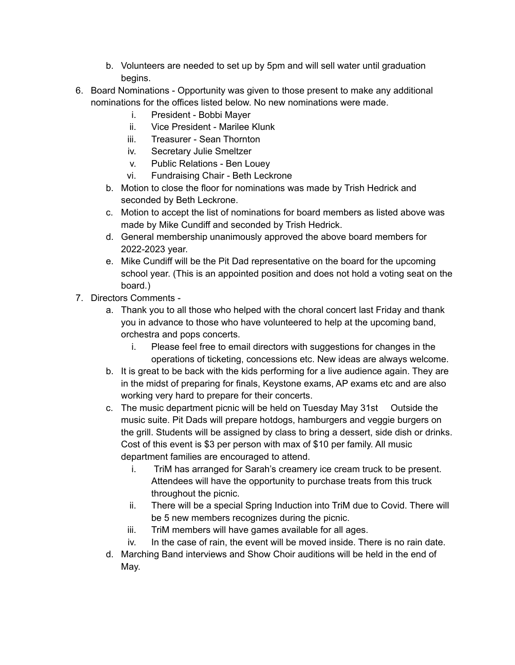- b. Volunteers are needed to set up by 5pm and will sell water until graduation begins.
- 6. Board Nominations Opportunity was given to those present to make any additional nominations for the offices listed below. No new nominations were made.
	- i. President Bobbi Mayer
	- ii. Vice President Marilee Klunk
	- iii. Treasurer Sean Thornton
	- iv. Secretary Julie Smeltzer
	- v. Public Relations Ben Louey
	- vi. Fundraising Chair Beth Leckrone
	- b. Motion to close the floor for nominations was made by Trish Hedrick and seconded by Beth Leckrone.
	- c. Motion to accept the list of nominations for board members as listed above was made by Mike Cundiff and seconded by Trish Hedrick.
	- d. General membership unanimously approved the above board members for 2022-2023 year.
	- e. Mike Cundiff will be the Pit Dad representative on the board for the upcoming school year. (This is an appointed position and does not hold a voting seat on the board.)
- 7. Directors Comments
	- a. Thank you to all those who helped with the choral concert last Friday and thank you in advance to those who have volunteered to help at the upcoming band, orchestra and pops concerts.
		- i. Please feel free to email directors with suggestions for changes in the operations of ticketing, concessions etc. New ideas are always welcome.
	- b. It is great to be back with the kids performing for a live audience again. They are in the midst of preparing for finals, Keystone exams, AP exams etc and are also working very hard to prepare for their concerts.
	- c. The music department picnic will be held on Tuesday May 31st Outside the music suite. Pit Dads will prepare hotdogs, hamburgers and veggie burgers on the grill. Students will be assigned by class to bring a dessert, side dish or drinks. Cost of this event is \$3 per person with max of \$10 per family. All music department families are encouraged to attend.
		- i. TriM has arranged for Sarah's creamery ice cream truck to be present. Attendees will have the opportunity to purchase treats from this truck throughout the picnic.
		- ii. There will be a special Spring Induction into TriM due to Covid. There will be 5 new members recognizes during the picnic.
		- iii. TriM members will have games available for all ages.
		- iv. In the case of rain, the event will be moved inside. There is no rain date.
	- d. Marching Band interviews and Show Choir auditions will be held in the end of May.